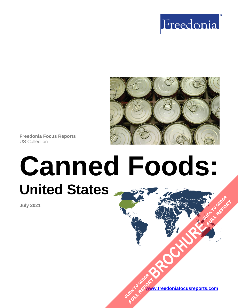



**Freedonia Focus Reports** US Collection

# **Canned Foods: United States [BROCHURE](https://www.freedoniafocusreports.com/Canned-Foods-United-States-FF10012/?progid=89541) CLICK TO ORDER**

**July 2021**

**[www.freedoniafocusreports.com](https://www.freedoniafocusreports.com/redirect.asp?progid=89534&url=/)** CLICK TO ORDER **FULL REPORT** 

**FULL REPORT**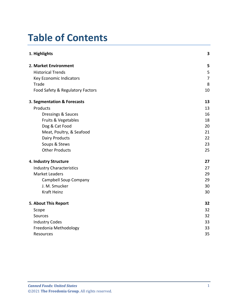# **Table of Contents**

| 1. Highlights                    | 3              |
|----------------------------------|----------------|
| 2. Market Environment            | 5              |
| <b>Historical Trends</b>         | 5              |
| Key Economic Indicators          | $\overline{7}$ |
| Trade                            | 8              |
| Food Safety & Regulatory Factors | 10             |
| 3. Segmentation & Forecasts      | 13             |
| Products                         | 13             |
| <b>Dressings &amp; Sauces</b>    | 16             |
| Fruits & Vegetables              | 18             |
| Dog & Cat Food                   | 20             |
| Meat, Poultry, & Seafood         | 21             |
| <b>Dairy Products</b>            | 22             |
| Soups & Stews                    | 23             |
| <b>Other Products</b>            | 25             |
| 4. Industry Structure            | 27             |
| <b>Industry Characteristics</b>  | 27             |
| <b>Market Leaders</b>            | 29             |
| Campbell Soup Company            | 29             |
| J. M. Smucker                    | 30             |
| <b>Kraft Heinz</b>               | 30             |
| 5. About This Report             | 32             |
| Scope                            | 32             |
| Sources                          | 32             |
| <b>Industry Codes</b>            | 33             |
| Freedonia Methodology            | 33             |
| <b>Resources</b>                 | 35             |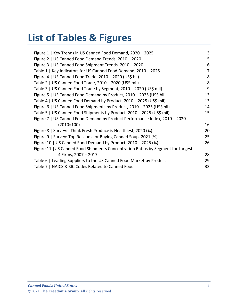# **List of Tables & Figures**

| Figure 1   Key Trends in US Canned Food Demand, 2020 - 2025                      | 3  |
|----------------------------------------------------------------------------------|----|
| Figure 2   US Canned Food Demand Trends, 2010 - 2020                             | 5  |
| Figure 3   US Canned Food Shipment Trends, 2010 - 2020                           | 6  |
| Table 1   Key Indicators for US Canned Food Demand, 2010 - 2025                  | 7  |
| Figure 4   US Canned Food Trade, 2010 - 2020 (US\$ bil)                          | 8  |
| Table 2   US Canned Food Trade, 2010 - 2020 (US\$ mil)                           | 8  |
| Table 3   US Canned Food Trade by Segment, 2010 - 2020 (US\$ mil)                | 9  |
| Figure 5   US Canned Food Demand by Product, 2010 - 2025 (US\$ bil)              | 13 |
| Table 4   US Canned Food Demand by Product, 2010 - 2025 (US\$ mil)               | 13 |
| Figure 6   US Canned Food Shipments by Product, 2010 - 2025 (US\$ bil)           | 14 |
| Table 5   US Canned Food Shipments by Product, 2010 - 2025 (US\$ mil)            | 15 |
| Figure 7   US Canned Food Demand by Product Performance Index, 2010 - 2020       |    |
| $(2010=100)$                                                                     | 16 |
| Figure 8   Survey: I Think Fresh Produce is Healthiest, 2020 (%)                 | 20 |
| Figure 9   Survey: Top Reasons for Buying Canned Soup, 2021 (%)                  | 25 |
| Figure 10   US Canned Food Demand by Product, 2010 - 2025 (%)                    | 26 |
| Figure 11   US Canned Food Shipments Concentration Ratios by Segment for Largest |    |
| 4 Firms, 2007 - 2017                                                             | 28 |
| Table 6   Leading Suppliers to the US Canned Food Market by Product              | 29 |
| Table 7   NAICS & SIC Codes Related to Canned Food                               |    |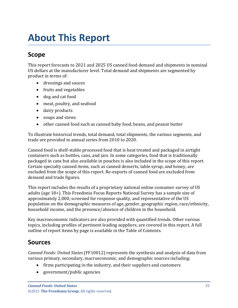# <span id="page-3-1"></span><span id="page-3-0"></span>**Scope**

This report forecasts to 2021 and 2025 US canned food demand and shipments in nominal US dollars at the manufacturer level. Total demand and shipments are segmented by product in terms of:

- dressings and sauces
- fruits and vegetables
- dog and cat food
- meat, poultry, and seafood
- dairy products
- soups and stews
- other canned food such as canned baby food, beans, and peanut butter

To illustrate historical trends, total demand, total shipments, the various segments, and trade are provided in annual series from 2010 to 2020.

Canned food is shelf-stable processed food that is heat treated and packaged in airtight containers such as bottles, cans, and jars. In some categories, food that is traditionally packaged in cans but also available in pouches is also included in the scope of this report. Certain specialty canned items, such as canned desserts, table syrup, and honey, are excluded from the scope of this report. Re-exports of canned food are excluded from demand and trade figures.

This report includes the results of a proprietary national online consumer survey of US adults (age 18+). This Freedonia Focus Reports National Survey has a sample size of approximately 2,000, screened for response quality, and representative of the US population on the demographic measures of age, gender, geographic region, race/ethnicity, household income, and the presence/absence of children in the household.

Key macroeconomic indicators are also provided with quantified trends. Other various topics, including profiles of pertinent leading suppliers, are covered in this report. A full outline of report items by page is available in the Table of Contents.

# <span id="page-3-2"></span>**Sources**

*Canned Foods: United States* (FF10012) represents the synthesis and analysis of data from various primary, secondary, macroeconomic, and demographic sources including:

- firms participating in the industry, and their suppliers and customers
- government/public agencies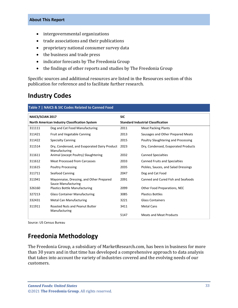- intergovernmental organizations
- trade associations and their publications
- proprietary national consumer survey data
- the business and trade press
- indicator forecasts by The Freedonia Group
- the findings of other reports and studies by The Freedonia Group

Specific sources and additional resources are listed in the Resources section of this publication for reference and to facilitate further research.

### <span id="page-4-0"></span>**Industry Codes**

<span id="page-4-2"></span>

| Table 7   NAICS & SIC Codes Related to Canned Food |                                                                        |                                           |                                      |  |  |
|----------------------------------------------------|------------------------------------------------------------------------|-------------------------------------------|--------------------------------------|--|--|
| <b>NAICS/SCIAN 2017</b>                            |                                                                        | <b>SIC</b>                                |                                      |  |  |
| North American Industry Classification System      |                                                                        | <b>Standard Industrial Classification</b> |                                      |  |  |
| 311111                                             | Dog and Cat Food Manufacturing                                         | 2011                                      | <b>Meat Packing Plants</b>           |  |  |
| 311421                                             | Fruit and Vegetable Canning                                            | 2013                                      | Sausages and Other Prepared Meats    |  |  |
| 311422                                             | <b>Specialty Canning</b>                                               | 2015                                      | Poultry Slaughtering and Processing  |  |  |
| 311514                                             | Dry, Condensed, and Evaporated Dairy Product<br>Manufacturing          | 2023                                      | Dry, Condensed, Evaporated Products  |  |  |
| 311611                                             | Animal (except Poultry) Slaughtering                                   | 2032                                      | <b>Canned Specialties</b>            |  |  |
| 311612                                             | <b>Meat Processed from Carcasses</b>                                   | 2033                                      | <b>Canned Fruits and Specialties</b> |  |  |
| 311615                                             | <b>Poultry Processing</b>                                              | 2035                                      | Pickles, Sauces, and Salad Dressings |  |  |
| 311711                                             | Seafood Canning                                                        | 2047                                      | Dog and Cat Food                     |  |  |
| 311941                                             | Mayonnaise, Dressing, and Other Prepared<br><b>Sauce Manufacturing</b> | 2091                                      | Canned and Cured Fish and Seafoods   |  |  |
| 326160                                             | <b>Plastics Bottle Manufacturing</b>                                   | 2099                                      | Other Food Preparations, NEC         |  |  |
| 327213                                             | <b>Glass Container Manufacturing</b>                                   | 3085                                      | <b>Plastics Bottles</b>              |  |  |
| 332431                                             | <b>Metal Can Manufacturing</b>                                         | 3221                                      | <b>Glass Containers</b>              |  |  |
| 311911                                             | <b>Roasted Nuts and Peanut Butter</b><br>Manufacturing                 | 3411                                      | <b>Metal Cans</b>                    |  |  |
|                                                    |                                                                        | 5147                                      | <b>Meats and Meat Products</b>       |  |  |

Source: US Census Bureau

## <span id="page-4-1"></span>**Freedonia Methodology**

The Freedonia Group, a subsidiary of MarketResearch.com, has been in business for more than 30 years and in that time has developed a comprehensive approach to data analysis that takes into account the variety of industries covered and the evolving needs of our customers.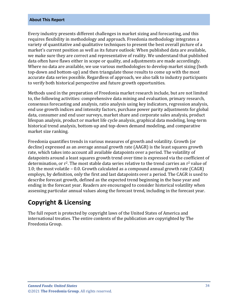Every industry presents different challenges in market sizing and forecasting, and this requires flexibility in methodology and approach. Freedonia methodology integrates a variety of quantitative and qualitative techniques to present the best overall picture of a market's current position as well as its future outlook: When published data are available, we make sure they are correct and representative of reality. We understand that published data often have flaws either in scope or quality, and adjustments are made accordingly. Where no data are available, we use various methodologies to develop market sizing (both top-down and bottom-up) and then triangulate those results to come up with the most accurate data series possible. Regardless of approach, we also talk to industry participants to verify both historical perspective and future growth opportunities.

Methods used in the preparation of Freedonia market research include, but are not limited to, the following activities: comprehensive data mining and evaluation, primary research, consensus forecasting and analysis, ratio analysis using key indicators, regression analysis, end use growth indices and intensity factors, purchase power parity adjustments for global data, consumer and end user surveys, market share and corporate sales analysis, product lifespan analysis, product or market life cycle analysis, graphical data modeling, long-term historical trend analysis, bottom-up and top-down demand modeling, and comparative market size ranking.

Freedonia quantifies trends in various measures of growth and volatility. Growth (or decline) expressed as an average annual growth rate (AAGR) is the least squares growth rate, which takes into account all available datapoints over a period. The volatility of datapoints around a least squares growth trend over time is expressed via the coefficient of determination, or  $r^2$ . The most stable data series relative to the trend carries an  $r^2$  value of 1.0; the most volatile – 0.0. Growth calculated as a compound annual growth rate (CAGR) employs, by definition, only the first and last datapoints over a period. The CAGR is used to describe forecast growth, defined as the expected trend beginning in the base year and ending in the forecast year. Readers are encouraged to consider historical volatility when assessing particular annual values along the forecast trend, including in the forecast year.

## **Copyright & Licensing**

The full report is protected by copyright laws of the United States of America and international treaties. The entire contents of the publication are copyrighted by The Freedonia Group.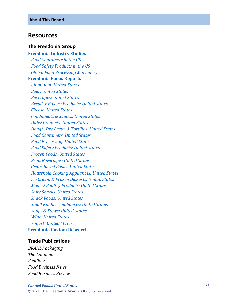#### <span id="page-6-0"></span>**Resources**

#### **The Freedonia Group**

**[Freedonia Industry Studies](http://www.freedoniagroup.com/Home.aspx?ReferrerId=FL-Focus)**

 *[Food Containers in the US](http://www.freedoniagroup.com/DocumentDetails.aspx?ReferrerId=FL-FOCUS&studyid=3609) [Food Safety Products in the US](http://www.freedoniagroup.com/DocumentDetails.aspx?ReferrerId=FL-FOCUS&studyid=3613) [Global Food Processing Machinery](http://www.freedoniagroup.com/DocumentDetails.aspx?ReferrerId=FL-FOCUS&studyid=3809)*

#### **[Freedonia Focus Reports](https://www.freedoniafocusreports.com/redirect.asp?progid=89534&url=/)**

 *[Aluminum: United States](https://www.freedoniafocusreports.com/Aluminum-United-States-FF65010/?progid=89534) [Beer: United States](https://www.freedoniafocusreports.com/Beer-United-States-FF10010/?progid=89534) [Beverages: United States](https://www.freedoniafocusreports.com/Beverages-United-States-FF10023/?progid=89534) [Bread & Bakery Products: United States](https://www.freedoniafocusreports.com/Bread-Bakery-Products-United-States-FF10056/?progid=89534) [Cheese: United States](https://www.freedoniafocusreports.com/Cheese-United-States-FF10030/?progid=89534) [Condiments & Sauces: United States](https://www.freedoniafocusreports.com/Condiments-Sauces-United-States-FF10050/?progid=89534) [Dairy Products: United States](https://www.freedoniafocusreports.com/Dairy-Products-United-States-FF10013/?progid=89534) [Dough, Dry Pasta, & Tortillas: United States](https://www.freedoniafocusreports.com/Dough-Dry-Pasta-Tortillas-United-States-FF10055/?progid=89534) [Food Containers: United States](https://www.freedoniafocusreports.com/Food-Containers-United-States-FF30017/?progid=89534) [Food Processing: United States](https://www.freedoniafocusreports.com/Food-Processing-United-States-FF10024/?progid=89534) [Food Safety Products: United States](https://www.freedoniafocusreports.com/Food-Safety-Products-United-States-FF10022/?progid=89534) [Frozen Foods: United States](https://www.freedoniafocusreports.com/Frozen-Foods-United-States-FF10015/?progid=89534) [Fruit Beverages: United States](https://www.freedoniafocusreports.com/Fruit-Beverages-United-States-FF10059/?progid=89534) Grain [-Based Foods: United States](https://www.freedoniafocusreports.com/Grain-Based-Foods-United-States-FF10016/?progid=89534) [Household Cooking Appliances: United States](https://www.freedoniafocusreports.com/Household-Cooking-Appliances-United-States-FF90026/?progid=89534) [Ice Cream & Frozen Desserts: United States](https://www.freedoniafocusreports.com/Ice-Cream-Frozen-Desserts-United-States-FF10043/?progid=89534) [Meat & Poultry Products: United States](https://www.freedoniafocusreports.com/Meat-Poultry-Products-United-States-FF10017/?progid=89534) [Salty Snacks: United States](https://www.freedoniafocusreports.com/Salty-Snacks-United-States-FF10028/?progid=89534) [Snack Foods: United States](https://www.freedoniafocusreports.com/Snack-Foods-United-States-FF10025/?progid=89534) [Small Kitchen Appliances: United States](https://www.freedoniafocusreports.com/prod-toc/Small-Kitchen-Appliances-United-States-FF90029/?progid=89534) [Soups & Stews: United States](https://www.freedoniafocusreports.com/Soups-Stews-United-States-FF10057/?progid=89534) [Wine: United States](https://www.freedoniafocusreports.com/Wine-United-States-FF10020/?progid=89534) [Yogurt: United States](https://www.freedoniafocusreports.com/Yogurt-United-States-FF10052/?progid=89534)* **[Freedonia Custom Research](http://www.freedoniagroup.com/CustomResearch.aspx?ReferrerId=FL-Focus)**

#### **Trade Publications**

*BRANDPackaging The Canmaker FoodBev Food Business News Food Business Review*